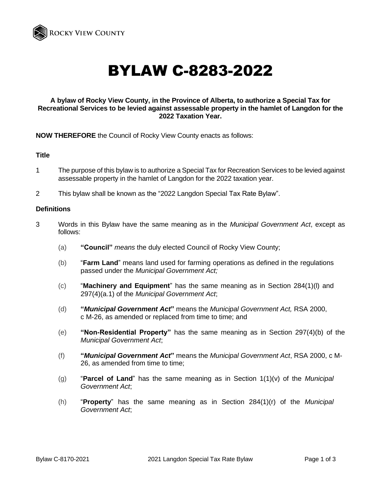

# BYLAW C-8283-2022

# **A bylaw of Rocky View County, in the Province of Alberta, to authorize a Special Tax for Recreational Services to be levied against assessable property in the hamlet of Langdon for the 2022 Taxation Year.**

**NOW THEREFORE** the Council of Rocky View County enacts as follows:

## **Title**

- 1 The purpose of this bylaw is to authorize a Special Tax for Recreation Services to be levied against assessable property in the hamlet of Langdon for the 2022 taxation year.
- 2 This bylaw shall be known as the "2022 Langdon Special Tax Rate Bylaw".

#### **Definitions**

- 3 Words in this Bylaw have the same meaning as in the *Municipal Government Act*, except as follows:
	- (a) **"Council"** *means* the duly elected Council of Rocky View County;
	- (b) "**Farm Land**" means land used for farming operations as defined in the regulations passed under the *Municipal Government Act;*
	- (c) "**Machinery and Equipment**" has the same meaning as in Section 284(1)(l) and 297(4)(a.1) of the *Municipal Government Act*;
	- (d) **"***Municipal Government Act***"** means the *Municipal Government Act,* RSA 2000, c M-26, as amended or replaced from time to time; and
	- (e) **"Non-Residential Property"** has the same meaning as in Section 297(4)(b) of the *Municipal Government Act*;
	- (f) **"***Municipal Government Act***"** means the *Municipal Government Act*, RSA 2000, c M-26, as amended from time to time;
	- (g) "**Parcel of Land**" has the same meaning as in Section 1(1)(v) of the *Municipal Government Act*;
	- (h) "**Property**" has the same meaning as in Section 284(1)(r) of the *Municipal Government Act*;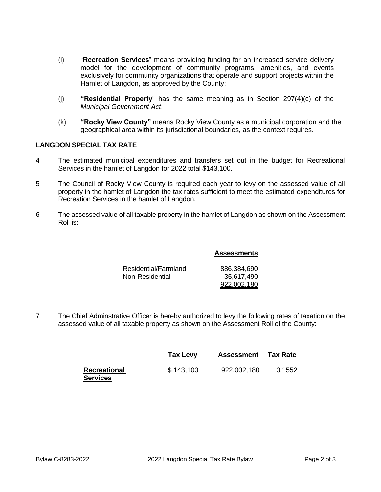- (i) "**Recreation Services**" means providing funding for an increased service delivery model for the development of community programs, amenities, and events exclusively for community organizations that operate and support projects within the Hamlet of Langdon, as approved by the County;
- (j) **"Residential Property**" has the same meaning as in Section 297(4)(c) of the *Municipal Government Act*;
- (k) **"Rocky View County"** means Rocky View County as a municipal corporation and the geographical area within its jurisdictional boundaries, as the context requires.

# **LANGDON SPECIAL TAX RATE**

- 4 The estimated municipal expenditures and transfers set out in the budget for Recreational Services in the hamlet of Langdon for 2022 total \$143,100.
- 5 The Council of Rocky View County is required each year to levy on the assessed value of all property in the hamlet of Langdon the tax rates sufficient to meet the estimated expenditures for Recreation Services in the hamlet of Langdon.
- 6 The assessed value of all taxable property in the hamlet of Langdon as shown on the Assessment Roll is:

## **Assessments**

| Residential/Farmland | 886,384,690 |
|----------------------|-------------|
| Non-Residential      | 35,617,490  |
|                      | 922.002.180 |

7 The Chief Adminstrative Officer is hereby authorized to levy the following rates of taxation on the assessed value of all taxable property as shown on the Assessment Roll of the County:

|                                        | Tax Levy  | <b>Assessment</b> | <b>Tax Rate</b> |
|----------------------------------------|-----------|-------------------|-----------------|
| <b>Recreational</b><br><b>Services</b> | \$143,100 | 922,002,180       | 0.1552          |